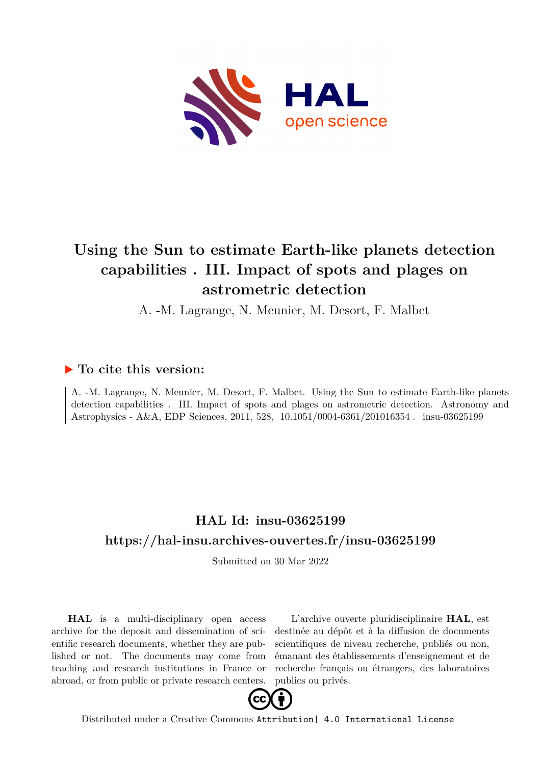

# **Using the Sun to estimate Earth-like planets detection capabilities . III. Impact of spots and plages on astrometric detection**

A. -M. Lagrange, N. Meunier, M. Desort, F. Malbet

## **To cite this version:**

A. -M. Lagrange, N. Meunier, M. Desort, F. Malbet. Using the Sun to estimate Earth-like planets detection capabilities . III. Impact of spots and plages on astrometric detection. Astronomy and Astrophysics - A&A, EDP Sciences, 2011, 528, 10.1051/0004-6361/201016354. insu-03625199

# **HAL Id: insu-03625199 <https://hal-insu.archives-ouvertes.fr/insu-03625199>**

Submitted on 30 Mar 2022

**HAL** is a multi-disciplinary open access archive for the deposit and dissemination of scientific research documents, whether they are published or not. The documents may come from teaching and research institutions in France or abroad, or from public or private research centers.

L'archive ouverte pluridisciplinaire **HAL**, est destinée au dépôt et à la diffusion de documents scientifiques de niveau recherche, publiés ou non, émanant des établissements d'enseignement et de recherche français ou étrangers, des laboratoires publics ou privés.



Distributed under a Creative Commons [Attribution| 4.0 International License](http://creativecommons.org/licenses/by/4.0/)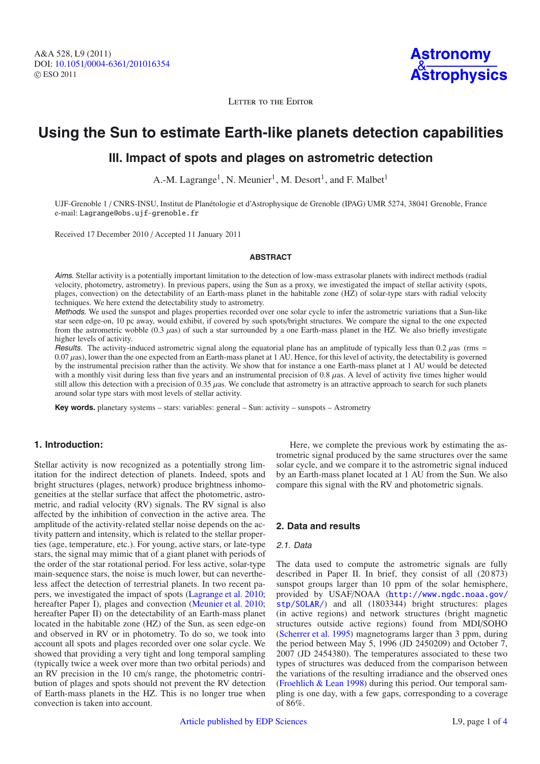LETTER TO THE EDITOR

# **Using the Sun to estimate Earth-like planets detection capabilities**

## **III. Impact of spots and plages on astrometric detection**

A.-M. Lagrange<sup>1</sup>, N. Meunier<sup>1</sup>, M. Desort<sup>1</sup>, and F. Malbet<sup>1</sup>

UJF-Grenoble 1 / CNRS-INSU, Institut de Planétologie et d'Astrophysique de Grenoble (IPAG) UMR 5274, 38041 Grenoble, France e-mail: Lagrange@obs.ujf-grenoble.fr

Received 17 December 2010 / Accepted 11 January 2011

#### **ABSTRACT**

Aims. Stellar activity is a potentially important limitation to the detection of low-mass extrasolar planets with indirect methods (radial velocity, photometry, astrometry). In previous papers, using the Sun as a proxy, we investigated the impact of stellar activity (spots, plages, convection) on the detectability of an Earth-mass planet in the habitable zone (HZ) of solar-type stars with radial velocity techniques. We here extend the detectability study to astrometry.

Methods. We used the sunspot and plages properties recorded over one solar cycle to infer the astrometric variations that a Sun-like star seen edge-on, 10 pc away, would exhibit, if covered by such spots/bright structures. We compare the signal to the one expected from the astrometric wobble  $(0.3 \mu as)$  of such a star surrounded by a one Earth-mass planet in the HZ. We also briefly investigate higher levels of activity.

Results. The activity-induced astrometric signal along the equatorial plane has an amplitude of typically less than  $0.2 \mu$ as (rms = 0.07 µas), lower than the one expected from an Earth-mass planet at 1 AU. Hence, for this level of activity, the detectability is governed by the instrumental precision rather than the activity. We show that for instance a one Earth-mass planet at 1 AU would be detected with a monthly visit during less than five years and an instrumental precision of 0.8  $\mu$ as. A level of activity five times higher would still allow this detection with a precision of  $0.35 \mu$ as. We conclude that astrometry is an attractive approach to search for such planets around solar type stars with most levels of stellar activity.

**Key words.** planetary systems – stars: variables: general – Sun: activity – sunspots – Astrometry

### **1. Introduction:**

Stellar activity is now recognized as a potentially strong limitation for the indirect detection of planets. Indeed, spots and bright structures (plages, network) produce brightness inhomogeneities at the stellar surface that affect the photometric, astrometric, and radial velocity (RV) signals. The RV signal is also affected by the inhibition of convection in the active area. The amplitude of the activity-related stellar noise depends on the activity pattern and intensity, which is related to the stellar properties (age, temperature, etc.). For young, active stars, or late-type stars, the signal may mimic that of a giant planet with periods of the order of the star rotational period. For less active, solar-type main-sequence stars, the noise is much lower, but can nevertheless affect the detection of terrestrial planets. In two recent papers, we investigated the impact of spots (Lagrange et al. 2010; hereafter Paper I), plages and convection (Meunier et al. 2010; hereafter Paper II) on the detectability of an Earth-mass planet located in the habitable zone (HZ) of the Sun, as seen edge-on and observed in RV or in photometry. To do so, we took into account all spots and plages recorded over one solar cycle. We showed that providing a very tight and long temporal sampling (typically twice a week over more than two orbital periods) and an RV precision in the 10 cm/s range, the photometric contribution of plages and spots should not prevent the RV detection of Earth-mass planets in the HZ. This is no longer true when convection is taken into account.

Here, we complete the previous work by estimating the astrometric signal produced by the same structures over the same solar cycle, and we compare it to the astrometric signal induced by an Earth-mass planet located at 1 AU from the Sun. We also compare this signal with the RV and photometric signals.

### **2. Data and results**

#### 2.1. Data

The data used to compute the astrometric signals are fully described in Paper II. In brief, they consist of all (20 873) sunspot groups larger than 10 ppm of the solar hemisphere, provided by USAF/NOAA ([http://www.ngdc.noaa.gov/](http://www.ngdc.noaa.gov/stp/SOLAR/) [stp/SOLAR/](http://www.ngdc.noaa.gov/stp/SOLAR/)) and all (1803344) bright structures: plages (in active regions) and network structures (bright magnetic structures outside active regions) found from MDI/SOHO (Scherrer et al. 1995) magnetograms larger than 3 ppm, during the period between May 5, 1996 (JD 2450209) and October 7, 2007 (JD 2454380). The temperatures associated to these two types of structures was deduced from the comparison between the variations of the resulting irradiance and the observed ones (Froehlich & Lean 1998) during this period. Our temporal sampling is one day, with a few gaps, corresponding to a coverage of 86%.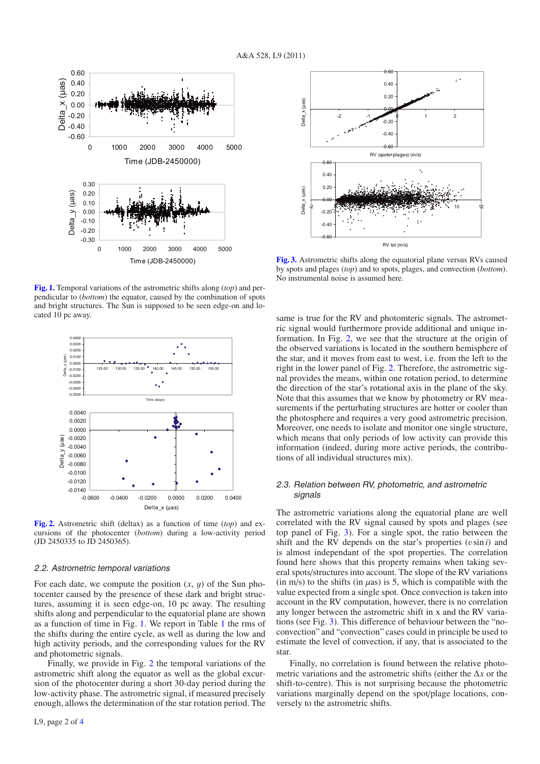

**[Fig. 1.](http://dexter.edpsciences.org/applet.php?DOI=10.1051/0004-6361/201016354&pdf_id=1)** Temporal variations of the astrometric shifts along (*top*) and perpendicular to (*bottom*) the equator, caused by the combination of spots and bright structures. The Sun is supposed to be seen edge-on and located 10 pc away.



**[Fig. 2.](http://dexter.edpsciences.org/applet.php?DOI=10.1051/0004-6361/201016354&pdf_id=2)** Astrometric shift (deltax) as a function of time (*top*) and excursions of the photocenter (*bottom*) during a low-activity period (JD 2450335 to JD 2450365).

#### 2.2. Astrometric temporal variations

For each date, we compute the position  $(x, y)$  of the Sun photocenter caused by the presence of these dark and bright structures, assuming it is seen edge-on, 10 pc away. The resulting shifts along and perpendicular to the equatorial plane are shown as a function of time in Fig. 1. We report in Table 1 the rms of the shifts during the entire cycle, as well as during the low and high activity periods, and the corresponding values for the RV and photometric signals.

Finally, we provide in Fig. 2 the temporal variations of the astrometric shift along the equator as well as the global excursion of the photocenter during a short 30-day period during the low-activity phase. The astrometric signal, if measured precisely enough, allows the determination of the star rotation period. The



**[Fig. 3.](http://dexter.edpsciences.org/applet.php?DOI=10.1051/0004-6361/201016354&pdf_id=3)** Astrometric shifts along the equatorial plane versus RVs caused by spots and plages (*top*) and to spots, plages, and convection (*bottom*). No instrumental noise is assumed here.

same is true for the RV and photomteric signals. The astrometric signal would furthermore provide additional and unique information. In Fig. 2, we see that the structure at the origin of the observed variations is located in the southern hemisphere of the star, and it moves from east to west, i.e. from the left to the right in the lower panel of Fig. 2. Therefore, the astrometric signal provides the means, within one rotation period, to determine the direction of the star's rotational axis in the plane of the sky. Note that this assumes that we know by photometry or RV measurements if the perturbating structures are hotter or cooler than the photosphere and requires a very good astrometric precision. Moreover, one needs to isolate and monitor one single structure, which means that only periods of low activity can provide this information (indeed, during more active periods, the contributions of all individual structures mix).

### 2.3. Relation between RV, photometric, and astrometric signals

The astrometric variations along the equatorial plane are well correlated with the RV signal caused by spots and plages (see top panel of Fig. 3). For a single spot, the ratio between the shift and the RV depends on the star's properties  $(v \sin i)$  and is almost independant of the spot properties. The correlation found here shows that this property remains when taking several spots/structures into account. The slope of the RV variations (in m/s) to the shifts (in  $\mu$ as) is 5, which is compatible with the value expected from a single spot. Once convection is taken into account in the RV computation, however, there is no correlation any longer between the astrometric shift in x and the RV variations (see Fig. 3). This difference of behaviour between the "noconvection" and "convection" cases could in principle be used to estimate the level of convection, if any, that is associated to the star.

Finally, no correlation is found between the relative photometric variations and the astrometric shifts (either the Δ*x* or the shift-to-centre). This is not surprising because the photometric variations marginally depend on the spot/plage locations, conversely to the astrometric shifts.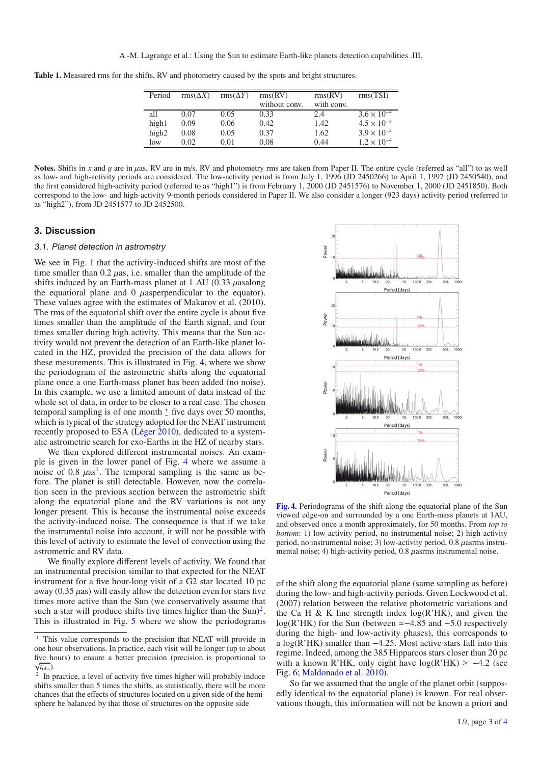**Table 1.** Measured rms for the shifts, RV and photometry caused by the spots and bright structures.

| Period            | $\text{rms}(\Delta X)$ | $\text{rms}(\Delta Y)$ | rms(RV)<br>without conv. | rms(RV)<br>with conv. | rms(TSI)             |
|-------------------|------------------------|------------------------|--------------------------|-----------------------|----------------------|
| all               | 0.07                   | 0.05                   | 0.33                     | 2.4                   | $3.6 \times 10^{-4}$ |
| high1             | 0.09                   | 0.06                   | 0.42                     | 1.42                  | $4.5 \times 10^{-4}$ |
| high <sub>2</sub> | 0.08                   | 0.05                   | 0.37                     | 1.62                  | $3.9 \times 10^{-4}$ |
| low               | 0.02                   | 0.01                   | 0.08                     | 0.44                  | $1.2 \times 10^{-4}$ |

Notes. Shifts in x and y are in uas, RV are in m/s. RV and photometry rms are taken from Paper II. The entire cycle (referred as "all") to as well as low- and high-activity periods are considered. The low-activity period is from July 1, 1996 (JD 2450266) to April 1, 1997 (JD 2450540), and the first considered high-activity period (referred to as "high1") is from February 1, 2000 (JD 2451576) to November 1, 2000 (JD 2451850). Both correspond to the low- and high-activity 9-month periods considered in Paper II. We also consider a longer (923 days) activity period (referred to as "high2"), from JD 2451577 to JD 2452500.

#### **3. Discussion**

#### 3.1. Planet detection in astrometry

We see in Fig. 1 that the activity-induced shifts are most of the time smaller than  $0.2 \mu$ as, i.e. smaller than the amplitude of the shifts induced by an Earth-mass planet at 1 AU (0.33  $\mu$ asalong the equatioral plane and  $\theta$  *µasperpendicular to the equator).* These values agree with the estimates of Makarov et al. (2010). The rms of the equatorial shift over the entire cycle is about five times smaller than the amplitude of the Earth signal, and four times smaller during high activity. This means that the Sun activity would not prevent the detection of an Earth-like planet located in the HZ, provided the precision of the data allows for these mesurements. This is illustrated in Fig. 4, where we show the periodogram of the astrometric shifts along the equatorial plane once a one Earth-mass planet has been added (no noise). In this example, we use a limited amount of data instead of the whole set of data, in order to be closer to a real case. The chosen temporal sampling is of one month  $\frac{+}{-}$  five days over 50 months, which is typical of the strategy adopted for the NEAT instrument recently proposed to ESA (Léger 2010), dedicated to a systematic astrometric search for exo-Earths in the HZ of nearby stars.

We then explored different instrumental noises. An example is given in the lower panel of Fig. 4 where we assume a noise of 0.8  $\mu$ as<sup>1</sup>. The temporal sampling is the same as before. The planet is still detectable. However, now the correlation seen in the previous section between the astrometric shift along the equatorial plane and the RV variations is not any longer present. This is because the instrumental noise exceeds the activity-induced noise. The consequence is that if we take the instrumental noise into account, it will not be possible with this level of activity to estimate the level of convection using the astrometric and RV data.

We finally explore different levels of activity. We found that an instrumental precision similar to that expected for the NEAT instrument for a five hour-long visit of a G2 star located 10 pc away (0.35  $\mu$ as) will easily allow the detection even for stars five times more active than the Sun (we conservatively assume that such a star will produce shifts five times higher than the  $Sun)^2$ . This is illustrated in Fig. 5 where we show the periodograms



**[Fig. 4.](http://dexter.edpsciences.org/applet.php?DOI=10.1051/0004-6361/201016354&pdf_id=4)** Periodograms of the shift along the equatorial plane of the Sun viewed edge-on and surrounded by a one Earth-mass planets at 1AU, and observed once a month approximately, for 50 months. From *top to bottom*: 1) low-activity period, no instrumental noise; 2) high-activity period, no instrumental noise; 3) low-activity period, 0.8 µasrms instrumental noise; 4) high-activity period,  $0.8 \mu$ asrms instrumental noise.

of the shift along the equatorial plane (same sampling as before) during the low- and high-activity periods. Given Lockwood et al. (2007) relation between the relative photometric variations and the Ca H & K line strength index  $log(R'HK)$ , and given the log(R'HK) for the Sun (between  $\simeq -4.85$  and  $-5.0$  respectively during the high- and low-activity phases), this corresponds to a log(R'HK) smaller than −4.25. Most active stars fall into this regime. Indeed, among the 385 Hipparcos stars closer than 20 pc with a known R'HK, only eight have  $log(R'HK) \ge -4.2$  (see Fig. 6; Maldonado et al. 2010).

So far we assumed that the angle of the planet orbit (supposedly identical to the equatorial plane) is known. For real observations though, this information will not be known a priori and

 $<sup>1</sup>$  This value corresponds to the precision that NEAT will provide in</sup> one hour observations. In practice, each visit will be longer (up to about five hours) to ensure a better precision (precision is proportional to  $\frac{1}{\sqrt{t_{\text{obs}}}}$ .

 $\frac{2}{3}$  In practice, a level of activity five times higher will probably induce shifts smaller than 5 times the shifts, as statistically, there will be more chances that the effects of structures located on a given side of the hemisphere be balanced by that those of structures on the opposite side